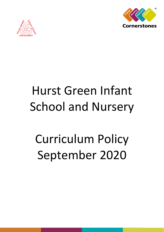



# Hurst Green Infant School and Nursery

# Curriculum Policy September 2020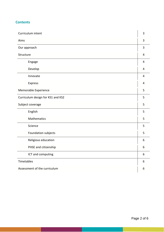# **Contents**

| Curriculum intent                 | $\overline{3}$ |
|-----------------------------------|----------------|
| Aims                              | 3              |
| Our approach                      | $\overline{3}$ |
| Structure                         | 4              |
| Engage                            | 4              |
| Develop                           | 4              |
| Innovate                          | 4              |
| Express                           | 4              |
| Memorable Experience              | 5              |
| Curriculum design for KS1 and KS2 | 5              |
| Subject coverage                  | 5              |
| English                           | 5              |
| Mathematics                       | 5              |
| Science                           | 5              |
| Foundation subjects               | 5              |
| Religious education               | 6              |
| PHSE and citizenship              | 6              |
| ICT and computing                 | 6              |
| Timetables                        | 6              |
| Assessment of the curriculum      | 6              |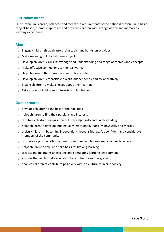## **Curriculum intent**

Our curriculum is broad, balanced and meets the requirements of the national curriculum. It has a project-based, thematic approach and provides children with a range of rich and memorable learning experiences.

## **Aims**

- $\triangleright$  Engage children through interesting topics and hands-on activities.
- $\triangleright$  Make meaningful links between subjects.
- Develop children's skills, knowledge and understanding of a range of themes and concepts.
- Make effective connections to the real world.  $\mathbf{b}$
- Help children to think creatively and solve problems.  $\mathbb{R}^{\mathbb{Z}}$
- Develop children's capacities to work independently and collaboratively.
- **Enable children to make choices about their learning.**
- **Take account of children's interests and fascinations.**

## **Our approach:**

- $\bullet$  develops children to the best of their abilities
- $\triangleright$  helps children to find their passions and interests
- $\Box$  facilitates children's acquisition of knowledge, skills and understanding
- $\bullet$  helps children to develop intellectually, emotionally, socially, physically and morally
- assists children in becoming independent, responsible, useful, confident and considerate members of the community
- $\Box$  promotes a positive attitude towards learning, so children enjoy coming to school
- $\triangleright$  helps children to acquire a solid basis for lifelong learning
- **EXECT** creates and maintains an exciting and stimulating learning environment
- $\epsilon$  ensures that each child's education has continuity and progression
- enables children to contribute positively within a culturally diverse society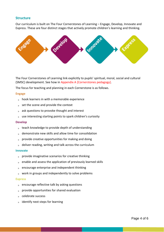## **Structure**

Our curriculum is built on The Four Cornerstones of Learning – Engage, Develop, Innovate and Express. These are four distinct stages that actively promote children's learning and thinking.



The Four Cornerstones of Learning link explicitly to pupils' spiritual, moral, social and cultural (SMSC) development. See how in Appendix A [Cornerstones pedagogy].

The focus for teaching and planning in each Cornerstone is as follows.

## **Engage**

- $\triangleright$  hook learners in with a memorable experience
- $\bullet$  set the scene and provide the context
- **▶ ask questions to provoke thought and interest**
- $\Box$  use interesting starting points to spark children's curiosity

#### **Develop**

- **EXECO** teach knowledge to provide depth of understanding
- demonstrate new skills and allow time for consolidation
- $\sqrt{p}$  provide creative opportunities for making and doing
- $\bullet$  deliver reading, writing and talk across the curriculum

#### **Innovate**

- $\triangleright$  provide imaginative scenarios for creative thinking
- $\triangleright$  enable and assess the application of previously learned skills
- encourage enterprise and independent thinking
- $\bullet$  work in groups and independently to solve problems

#### **Express**

- $\Box$  encourage reflective talk by asking questions
- $\sqrt{p}$  provide opportunities for shared evaluation
- **Exercise** success
- $\bullet$  identify next steps for learning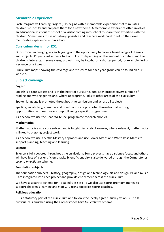## **Memorable Experience**

Each Imaginative Learning Project (ILP) begins with a memorable experience that stimulates children's curiosity and prepares them for a new theme. A memorable experience often involves an educational visit out of school or a visitor coming into school to share their expertise with the children. Some times this is not always possible and teachers work hard to set up their own memorable experience within school.

## **Curriculum design for KS1**

Our curriculum design gives each year group the opportunity to cover a broad range of themes and subjects. Projects last either a half or full term depending on the amount of content and the children's interests. In some cases, projects may be taught for a shorter period, for example during a science or art week.

Curriculum maps showing the coverage and structure for each year group can be found on our website.

## **Subject coverage**

## **English**

English is a core subject and is at the heart of our curriculum. Each project covers a range of reading and writing genres and, where appropriate, links to other areas of the curriculum.

Spoken language is promoted throughout the curriculum and across all subjects.

Spelling, vocabulary, grammar and punctuation are promoted throughout all writing opportunities, with each year group following a specific programme.

As a school we use the Read Write Inc. programme to teach phonics.

### **Mathematics**

Mathematics is also a core subject and is taught discretely. However, where relevant, mathematics is linked to ongoing project work.

As a school we use a Maths Mastery approach and use Power Maths and White Rose Maths to support planning, teaching and learning.

### **Science**

Science is fully covered throughout the curriculum. Some projects have a science focus, and others will have less of a scientific emphasis. Scientific enquiry is also delivered through the Cornerstones *Love to Investigate* scheme.

### **Foundation subjects**

The foundation subjects – history, geography, design and technology, art and design, PE and music – are integrated into each project and provide enrichment across the curriculum.

We have a separate scheme for PE called Get Set4 PE we also use sports premium money to support children's learning and staff CPD using specialist sports coaches.

### **Religious education**

RE is a statutory part of the curriculum and follows the locally agreed surrey syllabus. The RE curriculum is enriched using the Cornerstones *Love to Celebrate* scheme.